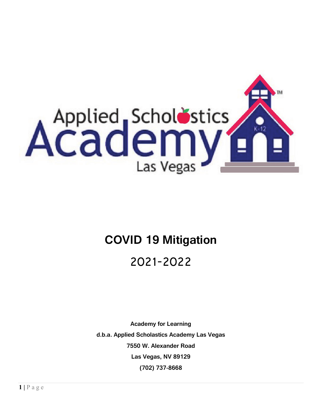

# **COVID 19 Mitigation**

## 2021-2022

**Academy for Learning d.b.a. Applied Scholastics Academy Las Vegas 7550 W. Alexander Road Las Vegas, NV 89129 (702) 737-8668**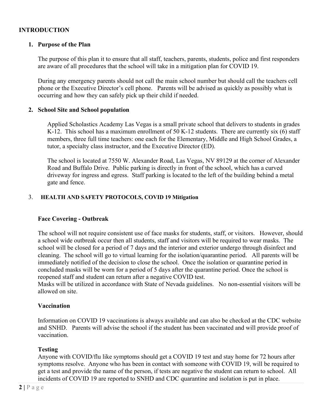#### **INTRODUCTION**

#### **1. Purpose of the Plan**

The purpose of this plan it to ensure that all staff, teachers, parents, students, police and first responders are aware of all procedures that the school will take in a mitigation plan for COVID 19.

During any emergency parents should not call the main school number but should call the teachers cell phone or the Executive Director's cell phone. Parents will be advised as quickly as possibly what is occurring and how they can safely pick up their child if needed.

#### **2. School Site and School population**

Applied Scholastics Academy Las Vegas is a small private school that delivers to students in grades K-12. This school has a maximum enrollment of 50 K-12 students. There are currently six (6) staff members, three full time teachers: one each for the Elementary, Middle and High School Grades, a tutor, a specialty class instructor, and the Executive Director (ED).

The school is located at 7550 W. Alexander Road, Las Vegas, NV 89129 at the corner of Alexander Road and Buffalo Drive. Public parking is directly in front of the school, which has a curved driveway for ingress and egress. Staff parking is located to the left of the building behind a metal gate and fence.

#### 3. **HEALTH AND SAFETY PROTOCOLS, COVID 19 Mitigation**

#### **Face Covering - Outbreak**

The school will not require consistent use of face masks for students, staff, or visitors. However, should a school wide outbreak occur then all students, staff and visitors will be required to wear masks. The school will be closed for a period of 7 days and the interior and exterior undergo through disinfect and cleaning. The school will go to virtual learning for the isolation/quarantine period. All parents will be immediately notified of the decision to close the school. Once the isolation or quarantine period in concluded masks will be worn for a period of 5 days after the quarantine period. Once the school is reopened staff and student can return after a negative COVID test.

Masks will be utilized in accordance with State of Nevada guidelines. No non-essential visitors will be allowed on site.

#### **Vaccination**

Information on COVID 19 vaccinations is always available and can also be checked at the CDC website and SNHD. Parents will advise the school if the student has been vaccinated and will provide proof of vaccination.

#### **Testing**

Anyone with COVID/flu like symptoms should get a COVID 19 test and stay home for 72 hours after symptoms resolve. Anyone who has been in contact with someone with COVID 19, will be required to get a test and provide the name of the person, if tests are negative the student can return to school. All incidents of COVID 19 are reported to SNHD and CDC quarantine and isolation is put in place.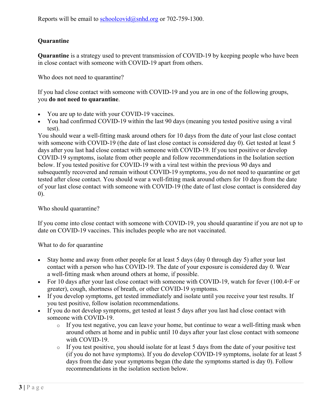## **Quarantine**

**Quarantine** is a strategy used to prevent transmission of COVID-19 by keeping people who have been in close contact with someone with COVID-19 apart from others.

Who does not need to quarantine?

If you had close contact with someone with COVID-19 and you are in one of the following groups, you **do not need to quarantine**.

- You are up to date with your COVID-19 vaccines.
- You had confirmed COVID-19 within the last 90 days (meaning you tested positive using a viral test).

You should wear a well-fitting mask around others for 10 days from the date of your last close contact with someone with COVID-19 (the date of last close contact is considered day 0). Get tested at least 5 days after you last had close contact with someone with COVID-19. If you test positive or develop COVID-19 symptoms, isolate from other people and follow recommendations in the Isolation section below. If you tested positive for COVID-19 with a viral test within the previous 90 days and subsequently recovered and remain without COVID-19 symptoms, you do not need to quarantine or get tested after close contact. You should wear a well-fitting mask around others for 10 days from the date of your last close contact with someone with COVID-19 (the date of last close contact is considered day 0).

Who should quarantine?

If you come into close contact with someone with COVID-19, you should quarantine if you are not up to date on COVID-19 vaccines. This includes people who are not vaccinated.

What to do for quarantine

- Stay home and away from other people for at least 5 days (day 0 through day 5) after your last contact with a person who has COVID-19. The date of your exposure is considered day 0. Wear a well-fitting mask when around others at home, if possible.
- For 10 days after your last close contact with someone with COVID-19, watch for fever (100.4◦F or greater), cough, shortness of breath, or other COVID-19 symptoms.
- If you develop symptoms, get tested immediately and isolate until you receive your test results. If you test positive, follow isolation recommendations.
- If you do not develop symptoms, get tested at least 5 days after you last had close contact with someone with COVID-19.
	- o If you test negative, you can leave your home, but continue to wear a well-fitting mask when around others at home and in public until 10 days after your last close contact with someone with COVID-19.
	- $\circ$  If you test positive, you should isolate for at least 5 days from the date of your positive test (if you do not have symptoms). If you do develop COVID-19 symptoms, isolate for at least 5 days from the date your symptoms began (the date the symptoms started is day 0). Follow recommendations in the isolation section below.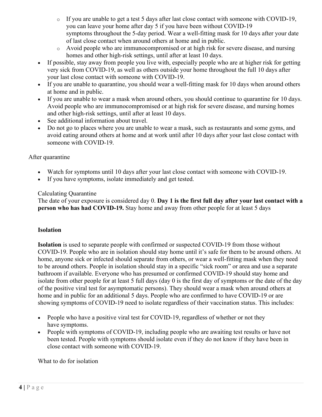- o If you are unable to get a test 5 days after last close contact with someone with COVID-19, you can leave your home after day 5 if you have been without COVID-19 symptoms throughout the 5-day period. Wear a well-fitting mask for 10 days after your date of last close contact when around others at home and in public.
- o Avoid people who are immunocompromised or at high risk for severe disease, and nursing homes and other high-risk settings, until after at least 10 days.
- If possible, stay away from people you live with, especially people who are at higher risk for getting very sick from COVID-19, as well as others outside your home throughout the full 10 days after your last close contact with someone with COVID-19.
- If you are unable to quarantine, you should wear a well-fitting mask for 10 days when around others at home and in public.
- If you are unable to wear a mask when around others, you should continue to quarantine for 10 days. Avoid people who are immunocompromised or at high risk for severe disease, and nursing homes and other high-risk settings, until after at least 10 days.
- See additional information about travel.
- Do not go to places where you are unable to wear a mask, such as restaurants and some gyms, and avoid eating around others at home and at work until after 10 days after your last close contact with someone with COVID-19.

#### After quarantine

- Watch for symptoms until 10 days after your last close contact with someone with COVID-19.
- If you have symptoms, isolate immediately and get tested.

## Calculating Quarantine

The date of your exposure is considered day 0. **Day 1 is the first full day after your last contact with a person who has had COVID-19.** Stay home and away from other people for at least 5 days

#### **Isolation**

**Isolation** is used to separate people with confirmed or suspected COVID-19 from those without COVID-19. People who are in isolation should stay home until it's safe for them to be around others. At home, anyone sick or infected should separate from others, or wear a well-fitting mask when they need to be around others. People in isolation should stay in a specific "sick room" or area and use a separate bathroom if available. Everyone who has presumed or confirmed COVID-19 should stay home and isolate from other people for at least 5 full days (day 0 is the first day of symptoms or the date of the day of the positive viral test for asymptomatic persons). They should wear a mask when around others at home and in public for an additional 5 days. People who are confirmed to have COVID-19 or are showing symptoms of COVID-19 need to isolate regardless of their vaccination status. This includes:

- People who have a positive viral test for COVID-19, regardless of whether or not they have symptoms.
- People with symptoms of COVID-19, including people who are awaiting test results or have not been tested. People with symptoms should isolate even if they do not know if they have been in close contact with someone with COVID-19.

What to do for isolation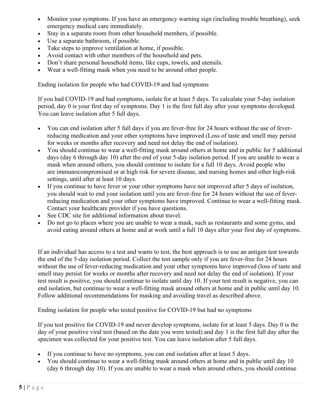- Monitor your symptoms. If you have an emergency warning sign (including trouble breathing), seek emergency medical care immediately.
- Stay in a separate room from other household members, if possible.
- Use a separate bathroom, if possible.
- Take steps to improve ventilation at home, if possible.
- Avoid contact with other members of the household and pets.
- Don't share personal household items, like cups, towels, and utensils.
- Wear a well-fitting mask when you need to be around other people.

Ending isolation for people who had COVID-19 and had symptoms

If you had COVID-19 and had symptoms, isolate for at least 5 days. To calculate your 5-day isolation period, day 0 is your first day of symptoms. Day 1 is the first full day after your symptoms developed. You can leave isolation after 5 full days.

- You can end isolation after 5 full days if you are fever-free for 24 hours without the use of feverreducing medication and your other symptoms have improved (Loss of taste and smell may persist for weeks or months after recovery and need not delay the end of isolation).
- You should continue to wear a well-fitting mask around others at home and in public for 5 additional days (day 6 through day 10) after the end of your 5-day isolation period. If you are unable to wear a mask when around others, you should continue to isolate for a full 10 days. Avoid people who are immunocompromised or at high risk for severe disease, and nursing homes and other high-risk settings, until after at least 10 days.
- If you continue to have fever or your other symptoms have not improved after 5 days of isolation, you should wait to end your isolation until you are fever-free for 24 hours without the use of feverreducing medication and your other symptoms have improved. Continue to wear a well-fitting mask. Contact your healthcare provider if you have questions.
- See CDC site for additional information about travel.
- Do not go to places where you are unable to wear a mask, such as restaurants and some gyms, and avoid eating around others at home and at work until a full 10 days after your first day of symptoms.

If an individual has access to a test and wants to test, the best approach is to use an antigen test towards the end of the 5-day isolation period. Collect the test sample only if you are fever-free for 24 hours without the use of fever-reducing medication and your other symptoms have improved (loss of taste and smell may persist for weeks or months after recovery and need not delay the end of isolation). If your test result is positive, you should continue to isolate until day 10. If your test result is negative, you can end isolation, but continue to wear a well-fitting mask around others at home and in public until day 10. Follow additional recommendations for masking and avoiding travel as described above.

Ending isolation for people who tested positive for COVID-19 but had no symptoms

If you test positive for COVID-19 and never develop symptoms, isolate for at least 5 days. Day 0 is the day of your positive viral test (based on the date you were tested) and day 1 is the first full day after the specimen was collected for your positive test. You can leave isolation after 5 full days.

- If you continue to have no symptoms, you can end isolation after at least 5 days.
- You should continue to wear a well-fitting mask around others at home and in public until day 10 (day 6 through day 10). If you are unable to wear a mask when around others, you should continue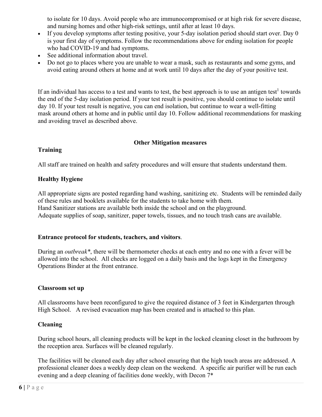to isolate for 10 days. Avoid people who are immunocompromised or at high risk for severe disease, and nursing homes and other high-risk settings, until after at least 10 days.

- If you develop symptoms after testing positive, your 5-day isolation period should start over. Day 0 is your first day of symptoms. Follow the recommendations above for ending isolation for people who had COVID-19 and had symptoms.
- See additional information about travel.
- Do not go to places where you are unable to wear a mask, such as restaurants and some gyms, and avoid eating around others at home and at work until 10 days after the day of your positive test.

If an individual has access to a test and wants to test, the best approach is to use an antigen test<sup>1</sup> towards the end of the 5-day isolation period. If your test result is positive, you should continue to isolate until day 10. If your test result is negative, you can end isolation, but continue to wear a well-fitting mask around others at home and in public until day 10. Follow additional recommendations for masking and avoiding travel as described above.

## **Other Mitigation measures**

#### **Training**

All staff are trained on health and safety procedures and will ensure that students understand them.

## **Healthy Hygiene**

All appropriate signs are posted regarding hand washing, sanitizing etc. Students will be reminded daily of these rules and booklets available for the students to take home with them. Hand Sanitizer stations are available both inside the school and on the playground. Adequate supplies of soap, sanitizer, paper towels, tissues, and no touch trash cans are available.

#### **Entrance protocol for students, teachers, and visitors**.

During an *outbreak\**, there will be thermometer checks at each entry and no one with a fever will be allowed into the school. All checks are logged on a daily basis and the logs kept in the Emergency Operations Binder at the front entrance.

#### **Classroom set up**

All classrooms have been reconfigured to give the required distance of 3 feet in Kindergarten through High School. A revised evacuation map has been created and is attached to this plan.

## **Cleaning**

During school hours, all cleaning products will be kept in the locked cleaning closet in the bathroom by the reception area. Surfaces will be cleaned regularly.

The facilities will be cleaned each day after school ensuring that the high touch areas are addressed. A professional cleaner does a weekly deep clean on the weekend. A specific air purifier will be run each evening and a deep cleaning of facilities done weekly, with Decon  $7^*$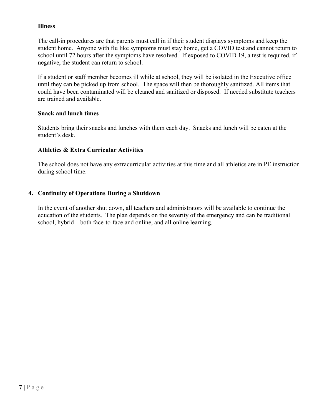#### **Illness**

The call-in procedures are that parents must call in if their student displays symptoms and keep the student home. Anyone with flu like symptoms must stay home, get a COVID test and cannot return to school until 72 hours after the symptoms have resolved. If exposed to COVID 19, a test is required, if negative, the student can return to school.

If a student or staff member becomes ill while at school, they will be isolated in the Executive office until they can be picked up from school. The space will then be thoroughly sanitized. All items that could have been contaminated will be cleaned and sanitized or disposed. If needed substitute teachers are trained and available.

#### **Snack and lunch times**

Students bring their snacks and lunches with them each day. Snacks and lunch will be eaten at the student's desk.

#### **Athletics & Extra Curricular Activities**

The school does not have any extracurricular activities at this time and all athletics are in PE instruction during school time.

#### **4. Continuity of Operations During a Shutdown**

In the event of another shut down, all teachers and administrators will be available to continue the education of the students. The plan depends on the severity of the emergency and can be traditional school, hybrid – both face-to-face and online, and all online learning.